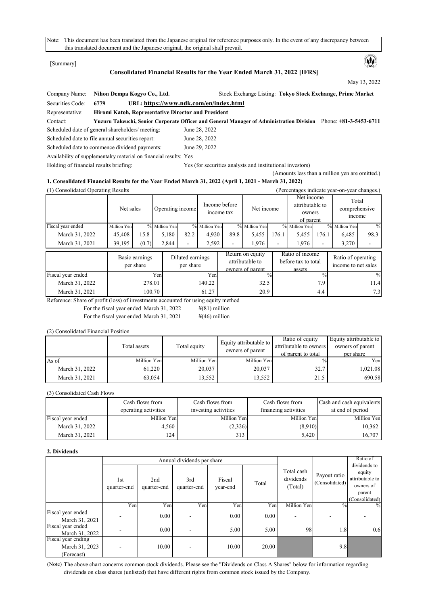Note: This document has been translated from the Japanese original for reference purposes only. In the event of any discrepancy between this translated document and the Japanese original, the original shall prevail.

[Summary]

# **Consolidated Financial Results for the Year Ended March 31, 2022 [IFRS]**

May 13, 2022

 $\mathbf{\omega}$ 

(Amounts less than a million yen are omitted.)

| Nihon Dempa Kogyo Co., Ltd.<br>Company Name: |                                                                   | Stock Exchange Listing: Tokyo Stock Exchange, Prime Market                                                      |
|----------------------------------------------|-------------------------------------------------------------------|-----------------------------------------------------------------------------------------------------------------|
| Securities Code:                             | 6779                                                              | URL: https://www.ndk.com/en/index.html                                                                          |
| Representative:                              | Hiromi Katoh, Representative Director and President               |                                                                                                                 |
| Contact:                                     |                                                                   | Yuzuru Takeuchi, Senior Corporate Officer and General Manager of Administration Division Phone: +81-3-5453-6711 |
|                                              | Scheduled date of general shareholders' meeting:                  | June 28, 2022                                                                                                   |
|                                              | Scheduled date to file annual securities report:                  | June 28, 2022                                                                                                   |
|                                              | Scheduled date to commence dividend payments:                     | June 29, 2022                                                                                                   |
|                                              | Availability of supplemental y material on financial results: Yes |                                                                                                                 |
| Holding of financial results briefing:       |                                                                   | Yes (for securities analysts and institutional investors)                                                       |

# **1. Consolidated Financial Results for the Year Ended March 31, 2022 (April 1, 2021 - March 31, 2022)**

| (1) Consolidated Operating Results                     |                                |                             |                   |                               |               |                             |                                                         |                          |                                                      |                          | (Percentages indicate year-on-year changes.) |               |
|--------------------------------------------------------|--------------------------------|-----------------------------|-------------------|-------------------------------|---------------|-----------------------------|---------------------------------------------------------|--------------------------|------------------------------------------------------|--------------------------|----------------------------------------------|---------------|
|                                                        | Net sales                      |                             | Operating income  |                               |               | Income before<br>income tax | Net income                                              |                          | Net income<br>attributable to<br>owners<br>of parent |                          | Total<br>comprehensive<br>income             |               |
| Fiscal year ended                                      | Million Yen                    |                             | % Million Yen     |                               | % Million Yen |                             | % Million Yen                                           |                          | % Million Yen                                        |                          | % Million Yen                                | $\frac{0}{0}$ |
| March 31, 2022                                         | 45,408                         | 15.8                        | 5,180             | 82.2                          | 4,920         | 89.8                        | 5,455                                                   | 176.1                    | 5,455                                                | 176.1                    | 6,485                                        | 98.3          |
| March 31, 2021                                         | 39,195                         | (0.7)                       | 2,844             |                               | 2,592         |                             | 1,976                                                   | $\overline{\phantom{a}}$ | 1,976                                                | $\overline{\phantom{a}}$ | 3,270                                        |               |
|                                                        |                                | Basic earnings<br>per share |                   | Diluted earnings<br>per share |               |                             | Return on equity<br>attributable to<br>owners of parent |                          | Ratio of income<br>before tax to total<br>assets     |                          | Ratio of operating<br>income to net sales    |               |
| Fiscal year ended                                      |                                |                             | Yen               |                               | Yen           |                             |                                                         |                          |                                                      | $\frac{0}{0}$            |                                              | $\frac{0}{0}$ |
| March 31, 2022                                         |                                | 278.01                      |                   |                               | 140.22        |                             | 32.5                                                    |                          |                                                      | 7.9                      |                                              | 11.4          |
| March 31, 2021<br>$\mathbf{r}$<br>$\sim$ $\sim$ $\sim$ | $C^*$ . $(1)$<br>$\sim$ $\sim$ | 100.70                      | $\cdot$ 1 $\circ$ |                               | 61.27         |                             | 20.9                                                    |                          |                                                      | 4.4                      |                                              | 7.3           |

Reference: Share of profit (loss) of investments accounted for using equity method

For the fiscal year ended March 31, 2022  $\qquad \qquad \text{\#(81)}$  million For the fiscal year ended March 31, 2021  $\frac{\frac{1}{2}(46)}{1}$  million

(2) Consolidated Financial Position

|                | Total assets | Total equity | Equity attributable to<br>owners of parent | Ratio of equity<br>attributable to owners<br>of parent to total | Equity attributable to<br>owners of parent<br>per share |
|----------------|--------------|--------------|--------------------------------------------|-----------------------------------------------------------------|---------------------------------------------------------|
| $As$ of        | Million Yen  | Million Yen  | Million Yen                                | $\frac{0}{0}$                                                   | Yen                                                     |
| March 31, 2022 | 61,220       | 20,037       | 20,037                                     | 32.7                                                            | 1,021.08                                                |
| March 31, 2021 | 63,054       | 13,552       | 13,552                                     | 21.5                                                            | 690.58                                                  |

(3) Consolidated Cash Flows

|                   | Cash flows from<br>operating activities | Cash flows from<br>investing activities | Cash flows from<br>financing activities | Cash and cash equivalents<br>at end of period |
|-------------------|-----------------------------------------|-----------------------------------------|-----------------------------------------|-----------------------------------------------|
| Fiscal year ended | Million Yen                             | Million Yen                             | Million Yen                             | Million Yen                                   |
| March 31, 2022    | 4.560                                   | (2,326)                                 | (8,910)                                 | 10,362                                        |
| March 31, 2021    | 124                                     | 313                                     | 5,420                                   | 16,707                                        |

#### **2. Dividends**

|                                                    |                    |                    | Annual dividends per share |                    |       |                                    | Ratio of                       |                                                                                    |
|----------------------------------------------------|--------------------|--------------------|----------------------------|--------------------|-------|------------------------------------|--------------------------------|------------------------------------------------------------------------------------|
|                                                    | 1st<br>quarter-end | 2nd<br>quarter-end | 3rd<br>quarter-end         | Fiscal<br>year-end | Total | Total cash<br>dividends<br>(Total) | Payout ratio<br>(Consolidated) | dividends to<br>equity<br>attributable to<br>owners of<br>parent<br>(Consolidated) |
|                                                    | Yen                | Yen                | Yen                        | Yen                | Yen   | Million Yen                        | $\%$                           | $\frac{0}{0}$                                                                      |
| Fiscal year ended<br>March 31, 2021                |                    | 0.00               |                            | 0.00               | 0.00  |                                    |                                |                                                                                    |
| Fiscal year ended<br>March 31, 2022                |                    | 0.00               |                            | 5.00               | 5.00  | 98                                 | 1.8                            | 0.6                                                                                |
| Fiscal year ending<br>March 31, 2023<br>(Forecast) |                    | 10.00              |                            | 10.00              | 20.00 |                                    | 9.8                            |                                                                                    |

(Note) The above chart concerns common stock dividends. Please see the "Dividends on Class A Shares" below for information regarding dividends on class shares (unlisted) that have different rights from common stock issued by the Company.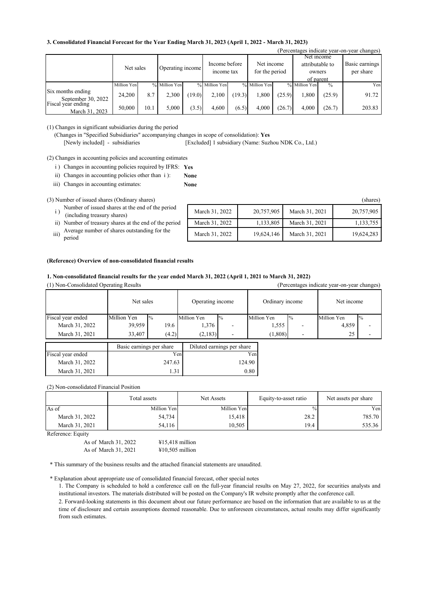#### **3. Consolidated Financial Forecast for the Year Ending March 31, 2023 (April 1, 2022 - March 31, 2023)**

|                    | Tercentages indicate year-on-year changes) |      |                  |        |                             |        |                              |        |                 |               |                |
|--------------------|--------------------------------------------|------|------------------|--------|-----------------------------|--------|------------------------------|--------|-----------------|---------------|----------------|
|                    |                                            |      |                  |        |                             |        |                              |        |                 | Net income    |                |
|                    | Net sales                                  |      | Operating income |        | Income before<br>income tax |        | Net income<br>for the period |        | attributable to |               | Basic earnings |
|                    |                                            |      |                  |        |                             |        |                              |        | owners          |               | per share      |
|                    |                                            |      |                  |        |                             |        |                              |        | of parent       |               |                |
|                    | Million Yen                                |      | % Million Yen    |        | % Million Yen               |        | % Million Yen                |        | % Million Yen   | $\frac{0}{0}$ | Yen            |
| Six months ending  | 24,200                                     | 8.7  | 2,300            | (19.0) | 2,100                       | (19.3) | 1,800                        | (25.9) | 1,800           | (25.9)        | 91.72          |
| September 30, 2022 |                                            |      |                  |        |                             |        |                              |        |                 |               |                |
| Fiscal year ending | 50,000                                     | 10.1 | 5.000            | (3.5)  | 4.600                       | (6.5)  | 4.000                        | (26.7) | 4.000           | (26.7)        | 203.83         |
| March 31, 2023     |                                            |      |                  |        |                             |        |                              |        |                 |               |                |

(1) Changes in significant subsidiaries during the period

(Changes in "Specified Subsidiaries" accompanying changes in scope of consolidation): **Yes**

[Newly included] - subsidiaries [Excluded] 1 subsidiary (Name: Suzhou NDK Co., Ltd.)

**None**

(2) Changes in accounting policies and accounting estimates

i) Changes in accounting policies required by IFRS: Yes

**None** ii) Changes in accounting policies other than i ):

iii) Changes in accounting estimates:

(3) Number of issued shares (Ordinary shares)

Number of issued shares at the end of the period<br>  $\frac{1}{2}$  (including treesury shares)

- ii) Number of treasury shares at the end of the period
- 
- period

|      | Number of issued shares at the end of the period<br>(including treasury shares) | March 31, 2022 | 20,757,905 | March 31, 2021 | 20,757,905 |
|------|---------------------------------------------------------------------------------|----------------|------------|----------------|------------|
|      | ii) Number of treasury shares at the end of the period                          | March 31, 2022 | 1.133.805  | March 31, 2021 | 1,133,755  |
| iii) | Average number of shares outstanding for the<br>period                          | March 31, 2022 | 19,624,146 | March 31, 2021 | 19.624.283 |
|      |                                                                                 |                |            |                |            |

 $(D_{\text{unstable}})$  is directed year-on-year-on-year-on-

#### **(Reference) Overview of non-consolidated financial results**

## **1. Non-consolidated financial results for the year ended March 31, 2022 (April 1, 2021 to March 31, 2022)**

(1) Non-Consolidated Operating Results (Percentages indicate year-on-year changes)

|                   | Net sales   |                                                        | Operating income |               | Ordinary income |               | Net income  |       |
|-------------------|-------------|--------------------------------------------------------|------------------|---------------|-----------------|---------------|-------------|-------|
| Fiscal year ended | Million Yen | $\frac{10}{6}$                                         | Million Yen      | $\frac{0}{0}$ | Million Yen     | $\frac{0}{6}$ | Million Yen | $1\%$ |
| March 31, 2022    | 39,959      | 19.6                                                   | 1,376            |               | 1,555           | -             | 4,859       |       |
| March 31, 2021    | 33,407      | (4.2)                                                  | (2,183)          |               | (1,808)         |               | 25          |       |
|                   |             | Basic earnings per share<br>Diluted earnings per share |                  |               |                 |               |             |       |
| Fiscal year ended |             |                                                        | Yen              |               | Yen             |               |             |       |
| March 31, 2022    |             | 247.63                                                 |                  |               | 124.90          |               |             |       |

(2) Non-consolidated Financial Position

|                | Total assets | Net Assets  | Equity-to-asset ratio | Net assets per share |
|----------------|--------------|-------------|-----------------------|----------------------|
| As of          | Million Yen  | Million Yen | $\%$                  | Yen                  |
| March 31, 2022 | 54,734       | 15,418      | 28.2                  | 785.70               |
| March 31, 2021 | 54,116       | 10,505      | 19.4                  | 535.36               |

Reference: Equity

As of March 31, 2022 As of March 31, 2021 ¥10,505 million ¥15,418 million

\* This summary of the business results and the attached financial statements are unaudited.

March 31, 2021 1.31 1.31 0.80

\* Explanation about appropriate use of consolidated financial forecast, other special notes

1. The Company is scheduled to hold a conference call on the full-year financial results on May 27, 2022, for securities analysts and institutional investors. The materials distributed will be posted on the Company's IR website promptly after the conference call.

2. Forward-looking statements in this document about our future performance are based on the information that are available to us at the time of disclosure and certain assumptions deemed reasonable. Due to unforeseen circumstances, actual results may differ significantly from such estimates.

(shares)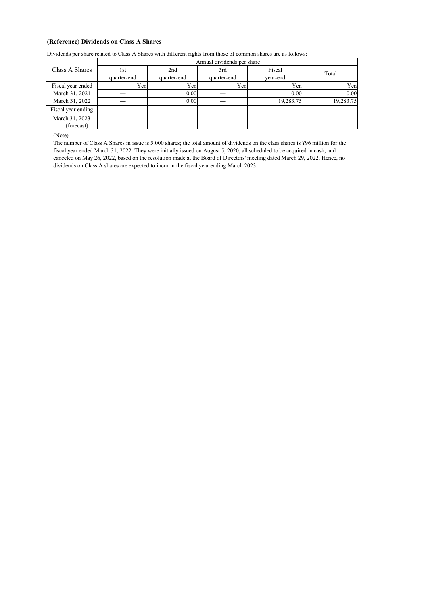# **(Reference) Dividends on Class A Shares**

| Dividends per share related to Class A Shares with different rights from those of common shares are as follows: |  |  |  |
|-----------------------------------------------------------------------------------------------------------------|--|--|--|
|-----------------------------------------------------------------------------------------------------------------|--|--|--|

|                    | Annual dividends per share |             |             |           |           |  |  |  |  |
|--------------------|----------------------------|-------------|-------------|-----------|-----------|--|--|--|--|
| Class A Shares     | 1st                        | 2nd         | 3rd         | Fiscal    | Total     |  |  |  |  |
|                    | quarter-end                | quarter-end | quarter-end | year-end  |           |  |  |  |  |
| Fiscal year ended  | Yen.                       | Yen         | Yen         | Yen       | Yen       |  |  |  |  |
| March 31, 2021     |                            | 0.00        |             | 0.00      | 0.00      |  |  |  |  |
| March 31, 2022     |                            | 0.00        |             | 19,283.75 | 19,283.75 |  |  |  |  |
| Fiscal year ending |                            |             |             |           |           |  |  |  |  |
| March 31, 2023     |                            |             |             |           |           |  |  |  |  |
| (forecast)         |                            |             |             |           |           |  |  |  |  |

(Note)

The number of Class A Shares in issue is 5,000 shares; the total amount of dividends on the class shares is ¥96 million for the fiscal year ended March 31, 2022. They were initially issued on August 5, 2020, all scheduled to be acquired in cash, and canceled on May 26, 2022, based on the resolution made at the Board of Directors' meeting dated March 29, 2022. Hence, no dividends on Class A shares are expected to incur in the fiscal year ending March 2023.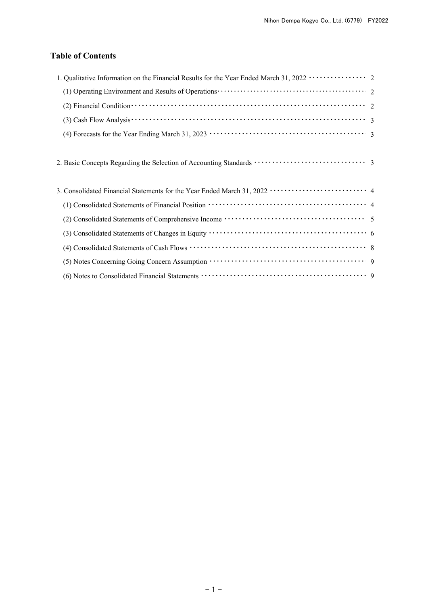# **Table of Contents**

| 1. Qualitative Information on the Financial Results for the Year Ended March 31, 2022 ················· 2                                                              |  |
|------------------------------------------------------------------------------------------------------------------------------------------------------------------------|--|
|                                                                                                                                                                        |  |
| (2) Financial Condition $\cdots$ $\cdots$ $\cdots$ $\cdots$ $\cdots$ $\cdots$ $\cdots$ $\cdots$ $\cdots$ $\cdots$ $\cdots$ $\cdots$ $\cdots$ $\cdots$ $\cdots$         |  |
| (3) Cash Flow Analysis $\cdots$ $\cdots$ $\cdots$ $\cdots$ $\cdots$ $\cdots$ $\cdots$ $\cdots$ $\cdots$ $\cdots$ $\cdots$ $\cdots$ $\cdots$ $\cdots$ $\cdots$ $\cdots$ |  |
|                                                                                                                                                                        |  |
|                                                                                                                                                                        |  |
|                                                                                                                                                                        |  |
|                                                                                                                                                                        |  |
|                                                                                                                                                                        |  |
|                                                                                                                                                                        |  |
|                                                                                                                                                                        |  |
|                                                                                                                                                                        |  |
|                                                                                                                                                                        |  |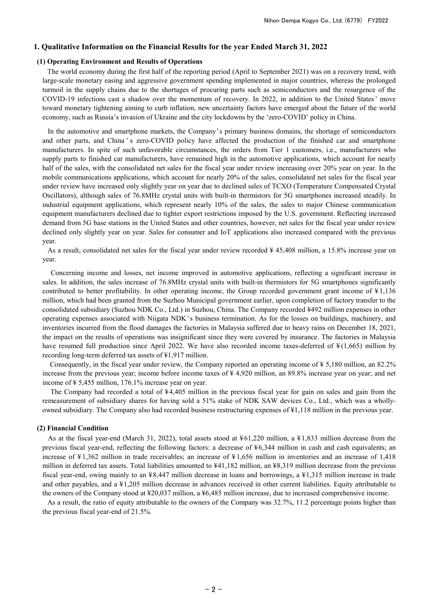#### **1. Qualitative Information on the Financial Results for the year Ended March 31, 2022**

#### **(1) Operating Environment and Results of Operations**

The world economy during the first half of the reporting period (April to September 2021) was on a recovery trend, with large-scale monetary easing and aggressive government spending implemented in major countries, whereas the prolonged turmoil in the supply chains due to the shortages of procuring parts such as semiconductors and the resurgence of the COVID-19 infections cast a shadow over the momentum of recovery. In 2022, in addition to the United States' move toward monetary tightening aiming to curb inflation, new uncertainty factors have emerged about the future of the world economy, such as Russia's invasion of Ukraine and the city lockdowns by the 'zero-COVID' policy in China.

In the automotive and smartphone markets, the Company's primary business domains, the shortage of semiconductors and other parts, and China 's zero-COVID policy have affected the production of the finished car and smartphone manufacturers. In spite of such unfavorable circumstances, the orders from Tier 1 customers, i.e., manufacturers who supply parts to finished car manufacturers, have remained high in the automotive applications, which account for nearly half of the sales, with the consolidated net sales for the fiscal year under review increasing over 20% year on year. In the mobile communications applications, which account for nearly 20% of the sales, consolidated net sales for the fiscal year under review have increased only slightly year on year due to declined sales of TCXO (Temperature Compensated Crystal Oscillators), although sales of 76.8MHz crystal units with built-in thermistors for 5G smartphones increased steadily. In industrial equipment applications, which represent nearly 10% of the sales, the sales to major Chinese communication equipment manufacturers declined due to tighter export restrictions imposed by the U.S. government. Reflecting increased demand from 5G base stations in the United States and other countries, however, net sales for the fiscal year under review declined only slightly year on year. Sales for consumer and IoT applications also increased compared with the previous year.

As a result, consolidated net sales for the fiscal year under review recorded ¥ 45,408 million, a 15.8% increase year on year.

Concerning income and losses, net income improved in automotive applications, reflecting a significant increase in sales. In addition, the sales increase of 76.8MHz crystal units with built-in thermistors for 5G smartphones significantly contributed to better profitability. In other operating income, the Group recorded government grant income of ¥ 1,136 million, which had been granted from the Suzhou Municipal government earlier, upon completion of factory transfer to the consolidated subsidiary (Suzhou NDK Co., Ltd.) in Suzhou, China. The Company recorded ¥492 million expenses in other operating expenses associated with Niigata NDK's business termination. As for the losses on buildings, machinery, and inventories incurred from the flood damages the factories in Malaysia suffered due to heavy rains on December 18, 2021, the impact on the results of operations was insignificant since they were covered by insurance. The factories in Malaysia have resumed full production since April 2022. We have also recorded income taxes-deferred of  $\frac{1}{2}(1,665)$  million by recording long-term deferred tax assets of ¥1,917 million.

Consequently, in the fiscal year under review, the Company reported an operating income of ¥ 5,180 million, an 82.2% increase from the previous year; income before income taxes of ¥ 4,920 million, an 89.8% increase year on year; and net income of ¥ 5,455 million, 176.1% increase year on year.

The Company had recorded a total of  $44,405$  million in the previous fiscal year for gain on sales and gain from the remeasurement of subsidiary shares for having sold a 51% stake of NDK SAW devices Co., Ltd., which was a whollyowned subsidiary. The Company also had recorded business restructuring expenses of ¥1,118 million in the previous year.

#### **(2) Financial Condition**

As at the fiscal year-end (March 31, 2022), total assets stood at  $\frac{1}{2}61,220$  million, a  $\frac{1}{2}1,833$  million decrease from the previous fiscal year-end, reflecting the following factors: a decrease of ¥6,344 million in cash and cash equivalents; an increase of ¥ 1,362 million in trade receivables; an increase of ¥ 1,656 million in inventories and an increase of 1,418 million in deferred tax assets. Total liabilities amounted to  $\frac{1}{41}$ ,182 million, an  $\frac{1}{48}$ ,319 million decrease from the previous fiscal year-end, owing mainly to an ¥8,447 million decrease in loans and borrowings, a ¥1,315 million increase in trade and other payables, and a ¥1,205 million decrease in advances received in other current liabilities. Equity attributable to the owners of the Company stood at ¥20,037 million, a ¥6,485 million increase, due to increased comprehensive income.

As a result, the ratio of equity attributable to the owners of the Company was 32.7%, 11.2 percentage points higher than the previous fiscal year-end of 21.5%.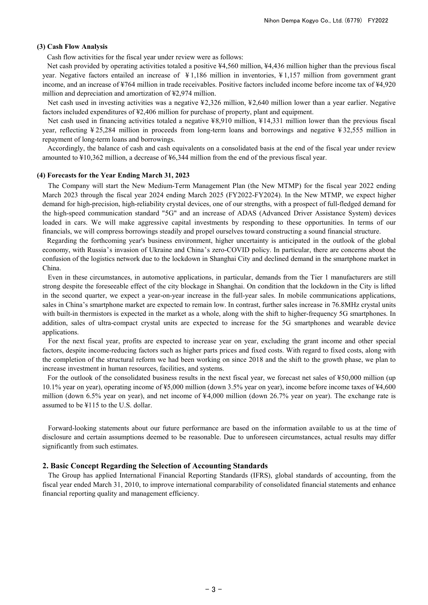### **(3) Cash Flow Analysis**

Cash flow activities for the fiscal year under review were as follows:

Net cash provided by operating activities totaled a positive ¥4,560 million, ¥4,436 million higher than the previous fiscal year. Negative factors entailed an increase of ¥ 1,186 million in inventories, ¥ 1,157 million from government grant income, and an increase of ¥764 million in trade receivables. Positive factors included income before income tax of ¥4,920 million and depreciation and amortization of ¥2,974 million.

Net cash used in investing activities was a negative ¥2,326 million, ¥2,640 million lower than a year earlier. Negative factors included expenditures of ¥2,406 million for purchase of property, plant and equipment.

Net cash used in financing activities totaled a negative ¥8,910 million, ¥14,331 million lower than the previous fiscal year, reflecting ¥ 25,284 million in proceeds from long-term loans and borrowings and negative ¥ 32,555 million in repayment of long-term loans and borrowings.

Accordingly, the balance of cash and cash equivalents on a consolidated basis at the end of the fiscal year under review amounted to ¥10,362 million, a decrease of ¥6,344 million from the end of the previous fiscal year.

#### **(4) Forecasts for the Year Ending March 31, 2023**

The Company will start the New Medium-Term Management Plan (the New MTMP) for the fiscal year 2022 ending March 2023 through the fiscal year 2024 ending March 2025 (FY2022-FY2024). In the New MTMP, we expect higher demand for high-precision, high-reliability crystal devices, one of our strengths, with a prospect of full-fledged demand for the high-speed communication standard "5G" and an increase of ADAS (Advanced Driver Assistance System) devices loaded in cars. We will make aggressive capital investments by responding to these opportunities. In terms of our financials, we will compress borrowings steadily and propel ourselves toward constructing a sound financial structure.

Regarding the forthcoming year's business environment, higher uncertainty is anticipated in the outlook of the global economy, with Russia's invasion of Ukraine and China's zero-COVID policy. In particular, there are concerns about the confusion of the logistics network due to the lockdown in Shanghai City and declined demand in the smartphone market in China.

Even in these circumstances, in automotive applications, in particular, demands from the Tier 1 manufacturers are still strong despite the foreseeable effect of the city blockage in Shanghai. On condition that the lockdown in the City is lifted in the second quarter, we expect a year-on-year increase in the full-year sales. In mobile communications applications, sales in China's smartphone market are expected to remain low. In contrast, further sales increase in 76.8MHz crystal units with built-in thermistors is expected in the market as a whole, along with the shift to higher-frequency 5G smartphones. In addition, sales of ultra-compact crystal units are expected to increase for the 5G smartphones and wearable device applications.

For the next fiscal year, profits are expected to increase year on year, excluding the grant income and other special factors, despite income-reducing factors such as higher parts prices and fixed costs. With regard to fixed costs, along with the completion of the structural reform we had been working on since 2018 and the shift to the growth phase, we plan to increase investment in human resources, facilities, and systems.

For the outlook of the consolidated business results in the next fiscal year, we forecast net sales of ¥50,000 million (up 10.1% year on year), operating income of ¥5,000 million (down 3.5% year on year), income before income taxes of ¥4,600 million (down 6.5% year on year), and net income of ¥4,000 million (down 26.7% year on year). The exchange rate is assumed to be ¥115 to the U.S. dollar.

Forward-looking statements about our future performance are based on the information available to us at the time of disclosure and certain assumptions deemed to be reasonable. Due to unforeseen circumstances, actual results may differ significantly from such estimates.

#### **2. Basic Concept Regarding the Selection of Accounting Standards**

The Group has applied International Financial Reporting Standards (IFRS), global standards of accounting, from the fiscal year ended March 31, 2010, to improve international comparability of consolidated financial statements and enhance financial reporting quality and management efficiency.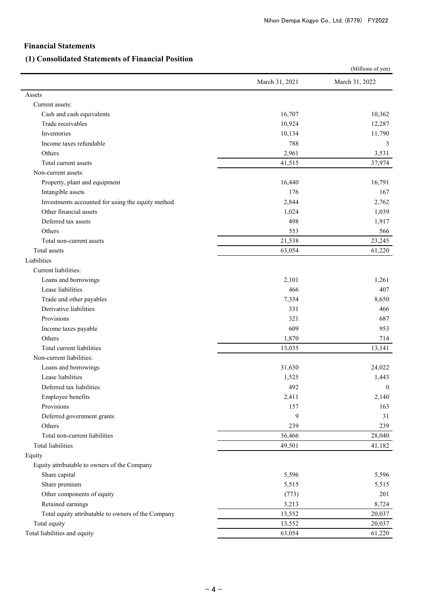# **Financial Statements**

# **(1) Consolidated Statements of Financial Position**

|                                                    | (Millions of yen) |                  |  |  |
|----------------------------------------------------|-------------------|------------------|--|--|
|                                                    | March 31, 2021    | March 31, 2022   |  |  |
| Assets                                             |                   |                  |  |  |
| Current assets:                                    |                   |                  |  |  |
| Cash and cash equivalents                          | 16,707            | 10,362           |  |  |
| Trade receivables                                  | 10,924            | 12,287           |  |  |
| Inventories                                        | 10,134            | 11,790           |  |  |
| Income taxes refundable                            | 788               | 3                |  |  |
| Others                                             | 2,961             | 3,531            |  |  |
| Total current assets                               | 41,515            | 37,974           |  |  |
| Non-current assets:                                |                   |                  |  |  |
| Property, plant and equipment                      | 16,440            | 16,791           |  |  |
| Intangible assets                                  | 176               | 167              |  |  |
| Investments accounted for using the equity method  | 2,844             | 2,762            |  |  |
| Other financial assets                             | 1,024             | 1,039            |  |  |
| Deferred tax assets                                | 498               | 1,917            |  |  |
| Others                                             | 553               | 566              |  |  |
| Total non-current assets                           | 21,538            | 23,245           |  |  |
| Total assets                                       | 63,054            | 61,220           |  |  |
| Liabilities                                        |                   |                  |  |  |
| Current liabilities:                               |                   |                  |  |  |
| Loans and borrowings                               | 2,101             | 1,261            |  |  |
| Lease liabilities                                  | 466               | 407              |  |  |
| Trade and other payables                           | 7,334             | 8,650            |  |  |
| Derivative liabilities                             | 331               | 466              |  |  |
| Provisions                                         | 321               | 687              |  |  |
| Income taxes payable                               | 609               | 953              |  |  |
| Others                                             | 1,870             | 714              |  |  |
| Total current liabilities                          | 13,035            | 13,141           |  |  |
| Non-current liabilities:                           |                   |                  |  |  |
| Loans and borrowings                               | 31,630            | 24,022           |  |  |
| Lease liabilities                                  | 1,525             | 1,443            |  |  |
| Deferred tax liabilities                           | 492               | $\boldsymbol{0}$ |  |  |
| Employee benefits                                  | 2,411             | 2,140            |  |  |
| Provisions                                         | 157               | 163              |  |  |
| Deferred government grants                         | 9                 | 31               |  |  |
| Others                                             | 239               | 239              |  |  |
| Total non-current liabilities                      | 36,466            | 28,040           |  |  |
| Total liabilities                                  | 49,501            | 41,182           |  |  |
| Equity                                             |                   |                  |  |  |
| Equity attributable to owners of the Company       |                   |                  |  |  |
| Share capital                                      | 5,596             | 5,596            |  |  |
| Share premium                                      | 5,515             | 5,515            |  |  |
| Other components of equity                         | (773)             | 201              |  |  |
| Retained earnings                                  | 3,213             | 8,724            |  |  |
| Total equity attributable to owners of the Company | 13,552            | 20,037           |  |  |
| Total equity                                       | 13,552            | 20,037           |  |  |
| Total liabilities and equity                       | 63,054            | 61,220           |  |  |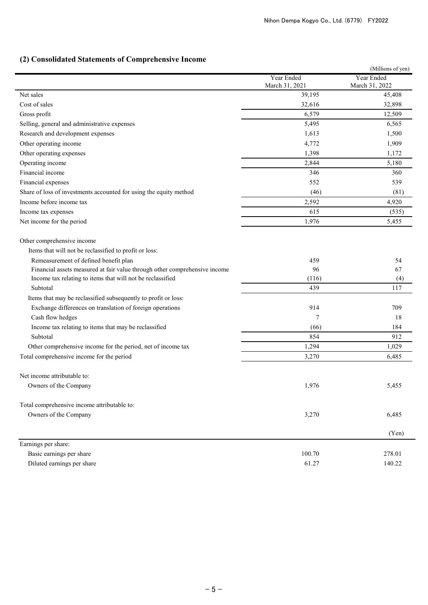# **(2) Consolidated Statements of Comprehensive Income**

|                                                                            |                              | (Millions of yen)            |  |
|----------------------------------------------------------------------------|------------------------------|------------------------------|--|
|                                                                            | Year Ended<br>March 31, 2021 | Year Ended<br>March 31, 2022 |  |
| Net sales                                                                  | 39,195                       | 45,408                       |  |
| Cost of sales                                                              | 32,616                       | 32,898                       |  |
| Gross profit                                                               | 6,579                        | 12,509                       |  |
| Selling, general and administrative expenses                               | 5,495                        | 6,565                        |  |
| Research and development expenses                                          | 1,613                        | 1,500                        |  |
| Other operating income                                                     | 4,772                        | 1,909                        |  |
| Other operating expenses                                                   | 1,398                        | 1,172                        |  |
| Operating income                                                           | 2,844                        | 5,180                        |  |
| Financial income                                                           | 346                          | 360                          |  |
| Financial expenses                                                         | 552                          | 539                          |  |
| Share of loss of investments accounted for using the equity method         | (46)                         | (81)                         |  |
| Income before income tax                                                   | 2,592                        | 4,920                        |  |
| Income tax expenses                                                        | 615                          | (535)                        |  |
| Net income for the period                                                  | 1,976                        | 5,455                        |  |
| Other comprehensive income                                                 |                              |                              |  |
| Items that will not be reclassified to profit or loss:                     |                              |                              |  |
| Remeasurement of defined benefit plan                                      | 459                          | 54                           |  |
| Financial assets measured at fair value through other comprehensive income | 96                           | 67                           |  |
| Income tax relating to items that will not be reclassified                 | (116)                        | (4)                          |  |
| Subtotal                                                                   | 439                          | 117                          |  |
| Items that may be reclassified subsequently to profit or loss:             |                              |                              |  |
| Exchange differences on translation of foreign operations                  | 914                          | 709                          |  |
| Cash flow hedges                                                           | 7                            | 18                           |  |
| Income tax relating to items that may be reclassified                      | (66)                         | 184                          |  |
| Subtotal                                                                   | 854                          | 912                          |  |
| Other comprehensive income for the period, net of income tax               | 1,294                        | 1,029                        |  |
| Total comprehensive income for the period                                  | 3,270                        | 6,485                        |  |
| Net income attributable to:                                                |                              |                              |  |
| Owners of the Company                                                      | 1,976                        | 5,455                        |  |
| Total comprehensive income attributable to:                                |                              |                              |  |
| Owners of the Company                                                      | 3,270                        | 6,485                        |  |
|                                                                            |                              | (Yen)                        |  |
| Earnings per share:                                                        |                              |                              |  |
| Basic earnings per share                                                   | 100.70                       | 278.01                       |  |
| Diluted earnings per share                                                 | 61.27                        | 140.22                       |  |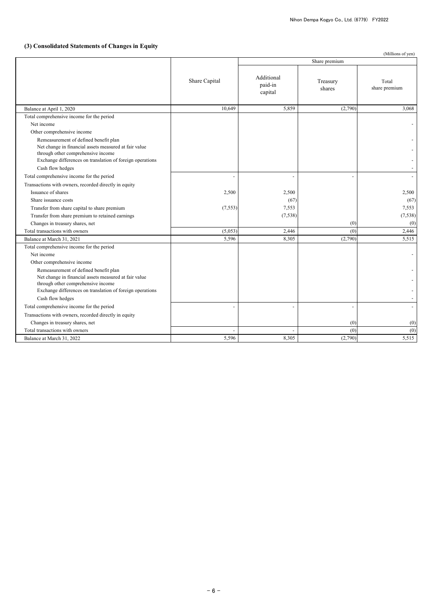# **(3) Consolidated Statements of Changes in Equity**

| Share premium<br>Additional<br>Share Capital<br>Treasury<br>Total<br>paid-in<br>share premium<br>shares<br>capital<br>5,859<br>Balance at April 1, 2020<br>10,649<br>(2,790)<br>Total comprehensive income for the period<br>Net income<br>Other comprehensive income<br>Remeasurement of defined benefit plan<br>Net change in financial assets measured at fair value<br>through other comprehensive income<br>Exchange differences on translation of foreign operations<br>Cash flow hedges<br>Total comprehensive income for the period<br>Transactions with owners, recorded directly in equity<br>Issuance of shares<br>2,500<br>2,500<br>(67)<br>Share issuance costs<br>7,553<br>Transfer from share capital to share premium<br>(7, 553)<br>(7, 538)<br>Transfer from share premium to retained earnings<br>Changes in treasury shares, net<br>(0)<br>Total transactions with owners<br>2,446<br>(0)<br>(5,053)<br>5,596<br>8,305<br>(2,790)<br>Balance at March 31, 2021<br>Total comprehensive income for the period<br>Net income<br>Other comprehensive income<br>Remeasurement of defined benefit plan<br>Net change in financial assets measured at fair value<br>through other comprehensive income<br>Exchange differences on translation of foreign operations<br>Cash flow hedges<br>Total comprehensive income for the period<br>Transactions with owners, recorded directly in equity<br>Changes in treasury shares, net<br>(0)<br>(0)<br>(0)<br>Total transactions with owners |                           |       |       |         | (Millions of yen)        |
|------------------------------------------------------------------------------------------------------------------------------------------------------------------------------------------------------------------------------------------------------------------------------------------------------------------------------------------------------------------------------------------------------------------------------------------------------------------------------------------------------------------------------------------------------------------------------------------------------------------------------------------------------------------------------------------------------------------------------------------------------------------------------------------------------------------------------------------------------------------------------------------------------------------------------------------------------------------------------------------------------------------------------------------------------------------------------------------------------------------------------------------------------------------------------------------------------------------------------------------------------------------------------------------------------------------------------------------------------------------------------------------------------------------------------------------------------------------------------------------------------|---------------------------|-------|-------|---------|--------------------------|
|                                                                                                                                                                                                                                                                                                                                                                                                                                                                                                                                                                                                                                                                                                                                                                                                                                                                                                                                                                                                                                                                                                                                                                                                                                                                                                                                                                                                                                                                                                      |                           |       |       |         |                          |
|                                                                                                                                                                                                                                                                                                                                                                                                                                                                                                                                                                                                                                                                                                                                                                                                                                                                                                                                                                                                                                                                                                                                                                                                                                                                                                                                                                                                                                                                                                      |                           |       |       |         |                          |
|                                                                                                                                                                                                                                                                                                                                                                                                                                                                                                                                                                                                                                                                                                                                                                                                                                                                                                                                                                                                                                                                                                                                                                                                                                                                                                                                                                                                                                                                                                      |                           |       |       |         | 3,068                    |
|                                                                                                                                                                                                                                                                                                                                                                                                                                                                                                                                                                                                                                                                                                                                                                                                                                                                                                                                                                                                                                                                                                                                                                                                                                                                                                                                                                                                                                                                                                      |                           |       |       |         |                          |
|                                                                                                                                                                                                                                                                                                                                                                                                                                                                                                                                                                                                                                                                                                                                                                                                                                                                                                                                                                                                                                                                                                                                                                                                                                                                                                                                                                                                                                                                                                      |                           |       |       |         |                          |
|                                                                                                                                                                                                                                                                                                                                                                                                                                                                                                                                                                                                                                                                                                                                                                                                                                                                                                                                                                                                                                                                                                                                                                                                                                                                                                                                                                                                                                                                                                      |                           |       |       |         |                          |
|                                                                                                                                                                                                                                                                                                                                                                                                                                                                                                                                                                                                                                                                                                                                                                                                                                                                                                                                                                                                                                                                                                                                                                                                                                                                                                                                                                                                                                                                                                      |                           |       |       |         | $\overline{\phantom{a}}$ |
|                                                                                                                                                                                                                                                                                                                                                                                                                                                                                                                                                                                                                                                                                                                                                                                                                                                                                                                                                                                                                                                                                                                                                                                                                                                                                                                                                                                                                                                                                                      |                           |       |       |         | $\sim$                   |
|                                                                                                                                                                                                                                                                                                                                                                                                                                                                                                                                                                                                                                                                                                                                                                                                                                                                                                                                                                                                                                                                                                                                                                                                                                                                                                                                                                                                                                                                                                      |                           |       |       |         | $\overline{\phantom{a}}$ |
|                                                                                                                                                                                                                                                                                                                                                                                                                                                                                                                                                                                                                                                                                                                                                                                                                                                                                                                                                                                                                                                                                                                                                                                                                                                                                                                                                                                                                                                                                                      |                           |       |       |         |                          |
|                                                                                                                                                                                                                                                                                                                                                                                                                                                                                                                                                                                                                                                                                                                                                                                                                                                                                                                                                                                                                                                                                                                                                                                                                                                                                                                                                                                                                                                                                                      |                           |       |       |         | 2,500                    |
|                                                                                                                                                                                                                                                                                                                                                                                                                                                                                                                                                                                                                                                                                                                                                                                                                                                                                                                                                                                                                                                                                                                                                                                                                                                                                                                                                                                                                                                                                                      |                           |       |       |         | (67)                     |
|                                                                                                                                                                                                                                                                                                                                                                                                                                                                                                                                                                                                                                                                                                                                                                                                                                                                                                                                                                                                                                                                                                                                                                                                                                                                                                                                                                                                                                                                                                      |                           |       |       |         | 7,553                    |
|                                                                                                                                                                                                                                                                                                                                                                                                                                                                                                                                                                                                                                                                                                                                                                                                                                                                                                                                                                                                                                                                                                                                                                                                                                                                                                                                                                                                                                                                                                      |                           |       |       |         | (7,538)                  |
|                                                                                                                                                                                                                                                                                                                                                                                                                                                                                                                                                                                                                                                                                                                                                                                                                                                                                                                                                                                                                                                                                                                                                                                                                                                                                                                                                                                                                                                                                                      |                           |       |       |         | (0)                      |
|                                                                                                                                                                                                                                                                                                                                                                                                                                                                                                                                                                                                                                                                                                                                                                                                                                                                                                                                                                                                                                                                                                                                                                                                                                                                                                                                                                                                                                                                                                      |                           |       |       |         | 2,446                    |
|                                                                                                                                                                                                                                                                                                                                                                                                                                                                                                                                                                                                                                                                                                                                                                                                                                                                                                                                                                                                                                                                                                                                                                                                                                                                                                                                                                                                                                                                                                      |                           |       |       |         | 5,515                    |
|                                                                                                                                                                                                                                                                                                                                                                                                                                                                                                                                                                                                                                                                                                                                                                                                                                                                                                                                                                                                                                                                                                                                                                                                                                                                                                                                                                                                                                                                                                      |                           |       |       |         |                          |
|                                                                                                                                                                                                                                                                                                                                                                                                                                                                                                                                                                                                                                                                                                                                                                                                                                                                                                                                                                                                                                                                                                                                                                                                                                                                                                                                                                                                                                                                                                      |                           |       |       |         |                          |
|                                                                                                                                                                                                                                                                                                                                                                                                                                                                                                                                                                                                                                                                                                                                                                                                                                                                                                                                                                                                                                                                                                                                                                                                                                                                                                                                                                                                                                                                                                      |                           |       |       |         |                          |
|                                                                                                                                                                                                                                                                                                                                                                                                                                                                                                                                                                                                                                                                                                                                                                                                                                                                                                                                                                                                                                                                                                                                                                                                                                                                                                                                                                                                                                                                                                      |                           |       |       |         |                          |
|                                                                                                                                                                                                                                                                                                                                                                                                                                                                                                                                                                                                                                                                                                                                                                                                                                                                                                                                                                                                                                                                                                                                                                                                                                                                                                                                                                                                                                                                                                      |                           |       |       |         |                          |
|                                                                                                                                                                                                                                                                                                                                                                                                                                                                                                                                                                                                                                                                                                                                                                                                                                                                                                                                                                                                                                                                                                                                                                                                                                                                                                                                                                                                                                                                                                      |                           |       |       |         |                          |
|                                                                                                                                                                                                                                                                                                                                                                                                                                                                                                                                                                                                                                                                                                                                                                                                                                                                                                                                                                                                                                                                                                                                                                                                                                                                                                                                                                                                                                                                                                      |                           |       |       |         | $\overline{\phantom{a}}$ |
|                                                                                                                                                                                                                                                                                                                                                                                                                                                                                                                                                                                                                                                                                                                                                                                                                                                                                                                                                                                                                                                                                                                                                                                                                                                                                                                                                                                                                                                                                                      |                           |       |       |         | $\overline{\phantom{a}}$ |
|                                                                                                                                                                                                                                                                                                                                                                                                                                                                                                                                                                                                                                                                                                                                                                                                                                                                                                                                                                                                                                                                                                                                                                                                                                                                                                                                                                                                                                                                                                      |                           |       |       |         |                          |
|                                                                                                                                                                                                                                                                                                                                                                                                                                                                                                                                                                                                                                                                                                                                                                                                                                                                                                                                                                                                                                                                                                                                                                                                                                                                                                                                                                                                                                                                                                      |                           |       |       |         |                          |
|                                                                                                                                                                                                                                                                                                                                                                                                                                                                                                                                                                                                                                                                                                                                                                                                                                                                                                                                                                                                                                                                                                                                                                                                                                                                                                                                                                                                                                                                                                      |                           |       |       |         | (0)                      |
|                                                                                                                                                                                                                                                                                                                                                                                                                                                                                                                                                                                                                                                                                                                                                                                                                                                                                                                                                                                                                                                                                                                                                                                                                                                                                                                                                                                                                                                                                                      | Balance at March 31, 2022 | 5,596 | 8,305 | (2,790) | 5,515                    |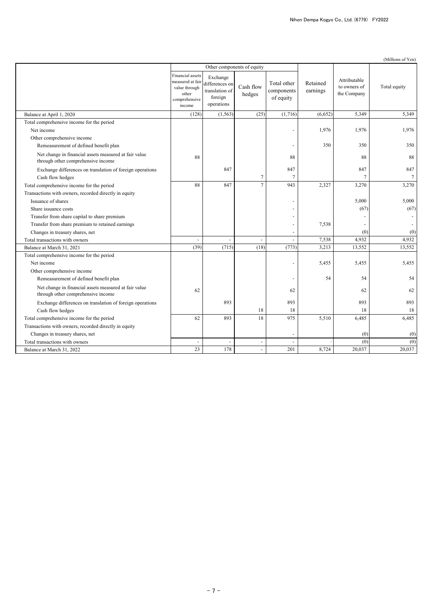| (Millions of Yen) |
|-------------------|

|                                                                                             |                                                                                           |                                                                       | Other components of equity |                                        |                      |                                             |              |
|---------------------------------------------------------------------------------------------|-------------------------------------------------------------------------------------------|-----------------------------------------------------------------------|----------------------------|----------------------------------------|----------------------|---------------------------------------------|--------------|
|                                                                                             | Financial assets<br>measured at fair<br>value through<br>other<br>comprehensive<br>income | Exchange<br>differences on<br>translation of<br>foreign<br>operations | Cash flow<br>hedges        | Total other<br>components<br>of equity | Retained<br>earnings | Attributable<br>to owners of<br>the Company | Total equity |
| Balance at April 1, 2020                                                                    | (128)                                                                                     | (1, 563)                                                              | (25)                       | (1,716)                                | (6,652)              | 5,349                                       | 5,349        |
| Total comprehensive income for the period                                                   |                                                                                           |                                                                       |                            |                                        |                      |                                             |              |
| Net income                                                                                  |                                                                                           |                                                                       |                            |                                        | 1,976                | 1,976                                       | 1.976        |
| Other comprehensive income                                                                  |                                                                                           |                                                                       |                            |                                        |                      |                                             |              |
| Remeasurement of defined benefit plan                                                       |                                                                                           |                                                                       |                            | $\overline{a}$                         | 350                  | 350                                         | 350          |
| Net change in financial assets measured at fair value<br>through other comprehensive income | 88                                                                                        |                                                                       |                            | 88                                     |                      | 88                                          | 88           |
| Exchange differences on translation of foreign operations                                   |                                                                                           | 847                                                                   |                            | 847                                    |                      | 847                                         | 847          |
| Cash flow hedges                                                                            |                                                                                           |                                                                       | $\tau$                     | $\overline{7}$                         |                      | 7                                           | $\tau$       |
| Total comprehensive income for the period                                                   | 88                                                                                        | 847                                                                   | $\overline{7}$             | 943                                    | 2,327                | 3,270                                       | 3,270        |
| Transactions with owners, recorded directly in equity                                       |                                                                                           |                                                                       |                            |                                        |                      |                                             |              |
| Issuance of shares                                                                          |                                                                                           |                                                                       |                            |                                        |                      | 5,000                                       | 5,000        |
| Share issuance costs                                                                        |                                                                                           |                                                                       |                            | $\overline{\phantom{0}}$               |                      | (67)                                        | (67)         |
| Transfer from share capital to share premium                                                |                                                                                           |                                                                       |                            |                                        |                      |                                             |              |
| Transfer from share premium to retained earnings                                            |                                                                                           |                                                                       |                            |                                        | 7,538                |                                             |              |
| Changes in treasury shares, net                                                             |                                                                                           |                                                                       |                            |                                        |                      | (0)                                         | (0)          |
| Total transactions with owners                                                              | $\overline{\phantom{a}}$                                                                  | $\overline{\phantom{a}}$                                              | $\overline{\phantom{a}}$   |                                        | 7,538                | 4,932                                       | 4,932        |
| Balance at March 31, 2021                                                                   | (39)                                                                                      | (715)                                                                 | (18)                       | (773)                                  | 3,213                | 13,552                                      | 13,552       |
| Total comprehensive income for the period                                                   |                                                                                           |                                                                       |                            |                                        |                      |                                             |              |
| Net income                                                                                  |                                                                                           |                                                                       |                            |                                        | 5,455                | 5,455                                       | 5,455        |
| Other comprehensive income                                                                  |                                                                                           |                                                                       |                            |                                        |                      |                                             |              |
| Remeasurement of defined benefit plan                                                       |                                                                                           |                                                                       |                            | ÷,                                     | 54                   | 54                                          | 54           |
| Net change in financial assets measured at fair value<br>through other comprehensive income | 62                                                                                        |                                                                       |                            | 62                                     |                      | 62                                          | 62           |
| Exchange differences on translation of foreign operations                                   |                                                                                           | 893                                                                   |                            | 893                                    |                      | 893                                         | 893          |
| Cash flow hedges                                                                            |                                                                                           |                                                                       | 18                         | 18                                     |                      | 18                                          | 18           |
| Total comprehensive income for the period                                                   | 62                                                                                        | 893                                                                   | 18                         | 975                                    | 5,510                | 6,485                                       | 6,485        |
| Transactions with owners, recorded directly in equity                                       |                                                                                           |                                                                       |                            |                                        |                      |                                             |              |
| Changes in treasury shares, net                                                             |                                                                                           |                                                                       |                            |                                        |                      | (0)                                         | (0)          |
| Total transactions with owners                                                              | $\overline{\phantom{a}}$                                                                  | $\overline{\phantom{a}}$                                              | $\overline{\phantom{a}}$   |                                        |                      | (0)                                         | (0)          |
| Balance at March 31, 2022                                                                   | 23                                                                                        | 178                                                                   | $\overline{\phantom{a}}$   | 201                                    | 8,724                | 20,037                                      | 20,037       |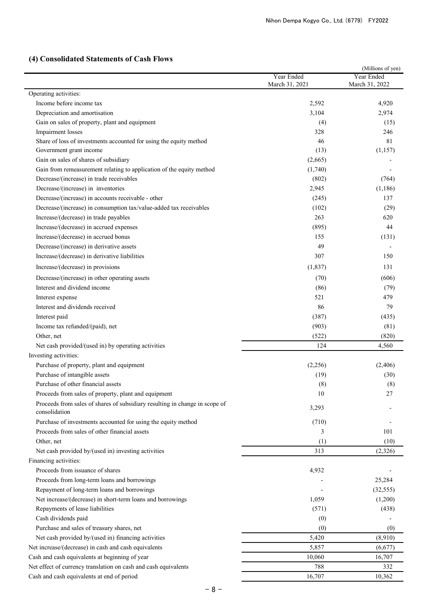# **(4) Consolidated Statements of Cash Flows**

|                                                                                              |                | (Millions of yen) |
|----------------------------------------------------------------------------------------------|----------------|-------------------|
|                                                                                              | Year Ended     | Year Ended        |
| Operating activities:                                                                        | March 31, 2021 | March 31, 2022    |
| Income before income tax                                                                     | 2,592          | 4,920             |
| Depreciation and amortisation                                                                | 3,104          | 2,974             |
| Gain on sales of property, plant and equipment                                               | (4)            | (15)              |
| Impairment losses                                                                            | 328            | 246               |
| Share of loss of investments accounted for using the equity method                           | 46             | 81                |
| Government grant income                                                                      | (13)           | (1,157)           |
| Gain on sales of shares of subsidiary                                                        | (2,665)        |                   |
| Gain from remeasurement relating to application of the equity method                         | (1,740)        |                   |
| Decrease/(increase) in trade receivables                                                     | (802)          | (764)             |
| Decrease/(increase) in inventories                                                           | 2,945          | (1, 186)          |
| Decrease/(increase) in accounts receivable - other                                           | (245)          | 137               |
| Decrease/(increase) in consumption tax/value-added tax receivables                           | (102)          | (29)              |
| Increase/(decrease) in trade payables                                                        | 263            | 620               |
| Increase/(decrease) in accrued expenses                                                      | (895)          | 44                |
| Increase/(decrease) in accrued bonus                                                         | 155            | (131)             |
| Decrease/(increase) in derivative assets                                                     | 49             |                   |
| Increase/(decrease) in derivative liabilities                                                | 307            | 150               |
| Increase/(decrease) in provisions                                                            | (1, 837)       | 131               |
|                                                                                              |                |                   |
| Decrease/(increase) in other operating assets<br>Interest and dividend income                | (70)           | (606)             |
|                                                                                              | (86)<br>521    | (79)<br>479       |
| Interest expense<br>Interest and dividends received                                          |                | 79                |
|                                                                                              | 86             |                   |
| Interest paid                                                                                | (387)          | (435)             |
| Income tax refunded/(paid), net                                                              | (903)          | (81)              |
| Other, net                                                                                   | (522)          | (820)             |
| Net cash provided/(used in) by operating activities                                          | 124            | 4,560             |
| Investing activities:                                                                        |                |                   |
| Purchase of property, plant and equipment                                                    | (2,256)        | (2, 406)          |
| Purchase of intangible assets                                                                | (19)           | (30)              |
| Purchase of other financial assets                                                           | (8)            | (8)               |
| Proceeds from sales of property, plant and equipment                                         | 10             | 27                |
| Proceeds from sales of shares of subsidiary resulting in change in scope of<br>consolidation | 3,293          |                   |
| Purchase of investments accounted for using the equity method                                | (710)          |                   |
| Proceeds from sales of other financial assets                                                | 3              | 101               |
| Other, net                                                                                   | (1)            | (10)              |
| Net cash provided by/(used in) investing activities                                          | 313            | (2,326)           |
| Financing activities:                                                                        |                |                   |
| Proceeds from issuance of shares                                                             | 4,932          |                   |
| Proceeds from long-term loans and borrowings                                                 |                | 25,284            |
| Repayment of long-term loans and borrowings                                                  |                | (32, 555)         |
| Net increase/(decrease) in short-term loans and borrowings                                   | 1,059          | (1,200)           |
| Repayments of lease liabilities                                                              | (571)          | (438)             |
| Cash dividends paid                                                                          | (0)            |                   |
| Purchase and sales of treasury shares, net                                                   | (0)            | (0)               |
| Net cash provided by/(used in) financing activities                                          | 5,420          | (8,910)           |
| Net increase/(decrease) in cash and cash equivalents                                         | 5,857          | (6,677)           |
| Cash and cash equivalents at beginning of year                                               | 10,060         | 16,707            |
| Net effect of currency translation on cash and cash equivalents                              | 788            | 332               |
| Cash and cash equivalents at end of period                                                   | 16,707         | 10,362            |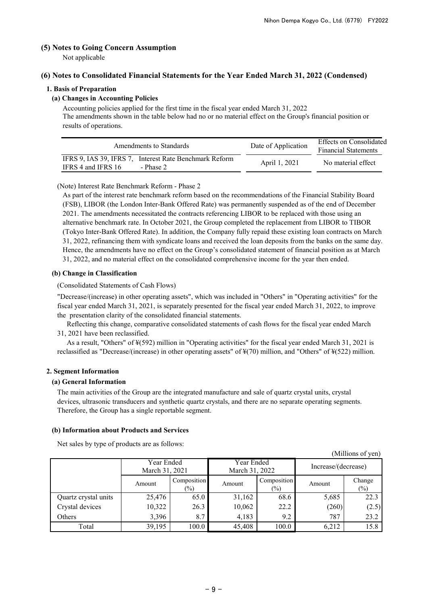(Millions of yen)

# **(5) Notes to Going Concern Assumption**

Not applicable

# **(6) Notes to Consolidated Financial Statements for the Year Ended March 31, 2022 (Condensed)**

# **1. Basis of Preparation**

# **(a) Changes in Accounting Policies**

Accounting policies applied for the first time in the fiscal year ended March 31, 2022 The amendments shown in the table below had no or no material effect on the Group's financial position or results of operations.

| Amendments to Standards                                                                   | Date of Application | Effects on Consolidated<br><b>Financial Statements</b> |  |
|-------------------------------------------------------------------------------------------|---------------------|--------------------------------------------------------|--|
| IFRS 9. IAS 39. IFRS 7. Interest Rate Benchmark Reform<br>IFRS 4 and IFRS 16<br>- Phase 2 | April 1, 2021       | No material effect                                     |  |

## (Note) Interest Rate Benchmark Reform - Phase 2

As part of the interest rate benchmark reform based on the recommendations of the Financial Stability Board (FSB), LIBOR (the London Inter-Bank Offered Rate) was permanently suspended as of the end of December 2021. The amendments necessitated the contracts referencing LIBOR to be replaced with those using an alternative benchmark rate. In October 2021, the Group completed the replacement from LIBOR to TIBOR (Tokyo Inter-Bank Offered Rate). In addition, the Company fully repaid these existing loan contracts on March 31, 2022, refinancing them with syndicate loans and received the loan deposits from the banks on the same day. Hence, the amendments have no effect on the Group's consolidated statement of financial position as at March 31, 2022, and no material effect on the consolidated comprehensive income for the year then ended.

## **(b) Change in Classification**

(Consolidated Statements of Cash Flows)

"Decrease/(increase) in other operating assets", which was included in "Others" in "Operating activities" for the fiscal year ended March 31, 2021, is separately presented for the fiscal year ended March 31, 2022, to improve the presentation clarity of the consolidated financial statements.

 Reflecting this change, comparative consolidated statements of cash flows for the fiscal year ended March 31, 2021 have been reclassified.

 As a result, "Others" of ¥(592) million in "Operating activities" for the fiscal year ended March 31, 2021 is reclassified as "Decrease/(increase) in other operating assets" of ¥(70) million, and "Others" of ¥(522) million.

## **2. Segment Information**

## **(a) General Information**

The main activities of the Group are the integrated manufacture and sale of quartz crystal units, crystal devices, ultrasonic transducers and synthetic quartz crystals, and there are no separate operating segments. Therefore, the Group has a single reportable segment.

## **(b) Information about Products and Services**

Net sales by type of products are as follows:

| (minions of you)     |                              |                       |                              |                       |                     |                  |  |
|----------------------|------------------------------|-----------------------|------------------------------|-----------------------|---------------------|------------------|--|
|                      | Year Ended<br>March 31, 2021 |                       | Year Ended<br>March 31, 2022 |                       | Increase/(decrease) |                  |  |
|                      | Amount                       | Composition<br>$(\%)$ | Amount                       | Composition<br>$(\%)$ | Amount              | Change<br>$(\%)$ |  |
| Quartz crystal units | 25,476                       | 65.0                  | 31,162                       | 68.6                  | 5,685               | 22.3             |  |
| Crystal devices      | 10,322                       | 26.3                  | 10,062                       | 22.2                  | (260)               | (2.5)            |  |
| Others               | 3,396                        | 8.7                   | 4,183                        | 9.2                   | 787                 | 23.2             |  |
| Total                | 39,195                       | 100.0                 | 45,408                       | 100.0                 | 6,212               | 15.8             |  |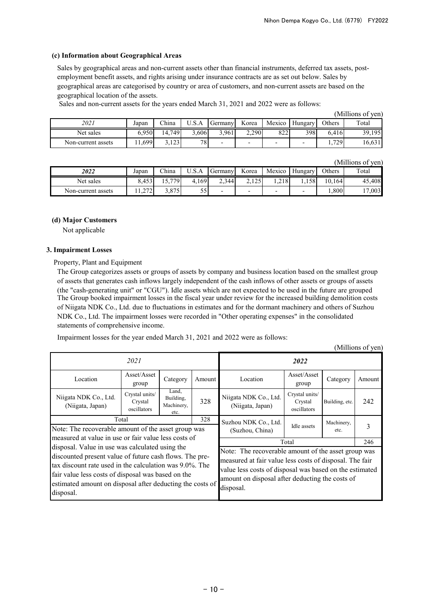# **(c) Information about Geographical Areas**

Sales by geographical areas and non-current assets other than financial instruments, deferred tax assets, postemployment benefit assets, and rights arising under insurance contracts are as set out below. Sales by geographical areas are categorised by country or area of customers, and non-current assets are based on the geographical location of the assets.

Sales and non-current assets for the years ended March 31, 2021 and 2022 were as follows:

|                    |       |        |       |                          |                          |        |         |        | (Millions of yen) |
|--------------------|-------|--------|-------|--------------------------|--------------------------|--------|---------|--------|-------------------|
| 2021               | Japan | China  | U.S.A | Germany                  | Korea                    | Mexico | Hungary | Others | Total             |
| Net sales          | 6.950 | 14,749 | 5,606 | 3.961                    | 2.290                    | 822    | 3981    | 6.416  | 39,195            |
| Non-current assets | 1,699 | 3,123  | 78    | $\overline{\phantom{a}}$ | $\overline{\phantom{0}}$ | -      |         | 1,729  | 16,631            |

(Millions of yen)

| 2022               | Japan                                                      | China      | $   -$<br>U.S.A | Germany | Korea                 | Mexico | Hungarv | <b>Others</b> | Total  |
|--------------------|------------------------------------------------------------|------------|-----------------|---------|-----------------------|--------|---------|---------------|--------|
| Net sales          | 8,453                                                      | 5.779<br>. | 4,169           | 2,344   | $1 \cap F$<br>ر عدد ک | 1,218  | 1,158   | 10,164        | 45,408 |
| Non-current assets | $\sim$<br>$\overline{1}$ . $\overline{2}$ / $\overline{2}$ | 3,875      | cε<br>◡         | -       | -                     |        |         | 0.8001        | 17,003 |

## **(d) Major Customers**

Not applicable

## **3. Impairment Losses**

Property, Plant and Equipment

The Group booked impairment losses in the fiscal year under review for the increased building demolition costs of Niigata NDK Co., Ltd. due to fluctuations in estimates and for the dormant machinery and others of Suzhou NDK Co., Ltd. The impairment losses were recorded in "Other operating expenses" in the consolidated statements of comprehensive income. The Group categorizes assets or groups of assets by company and business location based on the smallest group of assets that generates cash inflows largely independent of the cash inflows of other assets or groups of assets (the "cash-generating unit" or "CGU"). Idle assets which are not expected to be used in the future are grouped

Impairment losses for the year ended March 31, 2021 and 2022 were as follows:

|                                                                                                                                                                                                                                                                                                       |                                          |                                          |        |                                                                                                                                                                                                                                           |                                          |                | (Millions of yen) |  |
|-------------------------------------------------------------------------------------------------------------------------------------------------------------------------------------------------------------------------------------------------------------------------------------------------------|------------------------------------------|------------------------------------------|--------|-------------------------------------------------------------------------------------------------------------------------------------------------------------------------------------------------------------------------------------------|------------------------------------------|----------------|-------------------|--|
|                                                                                                                                                                                                                                                                                                       | 2021                                     |                                          |        | 2022                                                                                                                                                                                                                                      |                                          |                |                   |  |
| Location                                                                                                                                                                                                                                                                                              | Asset/Asset<br>group                     | Category                                 | Amount | Location                                                                                                                                                                                                                                  | Asset/Asset<br>group                     | Category       | Amount            |  |
| Niigata NDK Co., Ltd.<br>(Niigata, Japan)                                                                                                                                                                                                                                                             | Crystal units/<br>Crystal<br>oscillators | Land,<br>Building,<br>Machinery,<br>etc. | 328    | Niigata NDK Co., Ltd.<br>(Niigata, Japan)                                                                                                                                                                                                 | Crystal units/<br>Crystal<br>oscillators | Building, etc. | 242               |  |
|                                                                                                                                                                                                                                                                                                       | Total                                    |                                          | 328    | Suzhou NDK Co., Ltd.                                                                                                                                                                                                                      |                                          | Machinery,     |                   |  |
| Note: The recoverable amount of the asset group was<br>measured at value in use or fair value less costs of                                                                                                                                                                                           |                                          |                                          |        | (Suzhou, China)                                                                                                                                                                                                                           | Idle assets                              | etc.           |                   |  |
|                                                                                                                                                                                                                                                                                                       |                                          |                                          |        | Total<br>246                                                                                                                                                                                                                              |                                          |                |                   |  |
| disposal. Value in use was calculated using the<br>discounted present value of future cash flows. The pre-<br>tax discount rate used in the calculation was 9.0%. The<br>fair value less costs of disposal was based on the<br>estimated amount on disposal after deducting the costs of<br>disposal. |                                          |                                          |        | Note: The recoverable amount of the asset group was<br>measured at fair value less costs of disposal. The fair<br>value less costs of disposal was based on the estimated<br>amount on disposal after deducting the costs of<br>disposal. |                                          |                |                   |  |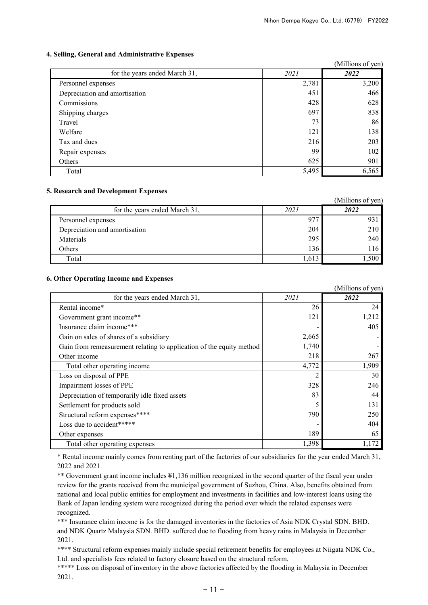# **4. Selling, General and Administrative Expenses**

|                               |       | (Millions of yen) |
|-------------------------------|-------|-------------------|
| for the years ended March 31, | 2021  | 2022              |
| Personnel expenses            | 2,781 | 3,200             |
| Depreciation and amortisation | 451   | 466               |
| Commissions                   | 428   | 628               |
| Shipping charges              | 697   | 838               |
| Travel                        | 73    | 86                |
| Welfare                       | 121   | 138               |
| Tax and dues                  | 216   | 203               |
| Repair expenses               | 99    | 102               |
| Others                        | 625   | 901               |
| Total                         | 5,495 | 6,565             |

# **5. Research and Development Expenses**

|                               |       | (Millions of yen) |
|-------------------------------|-------|-------------------|
| for the years ended March 31, | 2021  | 2022              |
| Personnel expenses            | 971   | 93.               |
| Depreciation and amortisation | 204   | 210               |
| Materials                     | 295   | 240               |
| Others                        | 136   | 116               |
| Total                         | 1,613 | ,500              |

# **6. Other Operating Income and Expenses**

|                                                                      |       | (Millions of yen) |
|----------------------------------------------------------------------|-------|-------------------|
| for the years ended March 31,                                        | 2021  | 2022              |
| Rental income*                                                       | 26    | 24                |
| Government grant income**                                            | 121   | 1,212             |
| Insurance claim income***                                            |       | 405               |
| Gain on sales of shares of a subsidiary                              | 2,665 |                   |
| Gain from remeasurement relating to application of the equity method | 1,740 |                   |
| Other income                                                         | 218   | 267               |
| Total other operating income                                         | 4,772 | 1,909             |
| Loss on disposal of PPE                                              |       | 30                |
| Impairment losses of PPE                                             | 328   | 246               |
| Depreciation of temporarily idle fixed assets                        | 83    | 44                |
| Settlement for products sold                                         |       | 131               |
| Structural reform expenses****                                       | 790   | 250               |
| Loss due to accident*****                                            |       | 404               |
| Other expenses                                                       | 189   | 65                |
| Total other operating expenses                                       | 1,398 | 1,172             |

\* Rental income mainly comes from renting part of the factories of our subsidiaries for the year ended March 31, 2022 and 2021.

\*\* Government grant income includes ¥1,136 million recognized in the second quarter of the fiscal year under review for the grants received from the municipal government of Suzhou, China. Also, benefits obtained from national and local public entities for employment and investments in facilities and low-interest loans using the Bank of Japan lending system were recognized during the period over which the related expenses were recognized.

\*\*\* Insurance claim income is for the damaged inventories in the factories of Asia NDK Crystal SDN. BHD. and NDK Quartz Malaysia SDN. BHD. suffered due to flooding from heavy rains in Malaysia in December 2021.

\*\*\*\* Structural reform expenses mainly include special retirement benefits for employees at Niigata NDK Co., Ltd. and specialists fees related to factory closure based on the structural reform.

\*\*\*\*\* Loss on disposal of inventory in the above factories affected by the flooding in Malaysia in December 2021.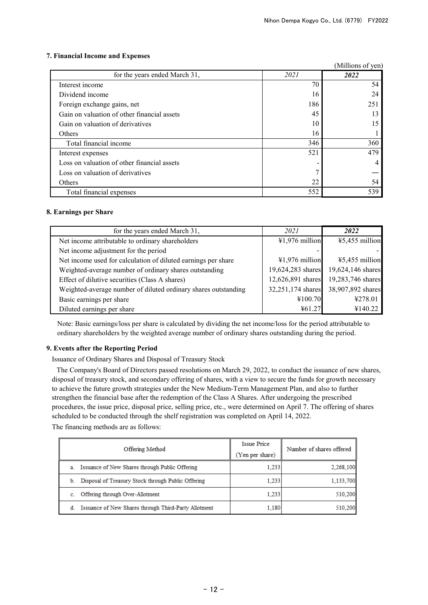# **7. Financial Income and Expenses**

|                                             | (Millions of yen) |      |
|---------------------------------------------|-------------------|------|
| for the years ended March 31,               | 2021              | 2022 |
| Interest income                             | 70                | 54   |
| Dividend income                             | 16                | 24   |
| Foreign exchange gains, net                 | 186               | 251  |
| Gain on valuation of other financial assets | 45                | 13   |
| Gain on valuation of derivatives            | 10                | 15   |
| Others                                      | 16                |      |
| Total financial income                      | 346               | 360  |
| Interest expenses                           | 521               | 479  |
| Loss on valuation of other financial assets |                   | 4    |
| Loss on valuation of derivatives            |                   |      |
| Others                                      | 22                | 54   |
| Total financial expenses                    | 552               | 539  |

# **8. Earnings per Share**

| for the years ended March 31,                                  | 2021              | 2022              |
|----------------------------------------------------------------|-------------------|-------------------|
|                                                                |                   |                   |
| Net income attributable to ordinary shareholders               | $41,976$ million  | ¥5,455 million    |
| Net income adjustment for the period                           |                   |                   |
| Net income used for calculation of diluted earnings per share  | ¥1,976 million    | ¥5,455 million    |
| Weighted-average number of ordinary shares outstanding         | 19,624,283 shares | 19,624,146 shares |
| Effect of dilutive securities (Class A shares)                 | 12,626,891 shares | 19,283,746 shares |
| Weighted-average number of diluted ordinary shares outstanding | 32,251,174 shares | 38,907,892 shares |
| Basic earnings per share                                       | ¥100.70           | ¥278.01           |
| Diluted earnings per share                                     | ¥61.27            | ¥140.22           |

Note: Basic earnings/loss per share is calculated by dividing the net income/loss for the period attributable to ordinary shareholders by the weighted average number of ordinary shares outstanding during the period.

## **9. Events after the Reporting Period**

Issuance of Ordinary Shares and Disposal of Treasury Stock

The Company's Board of Directors passed resolutions on March 29, 2022, to conduct the issuance of new shares, disposal of treasury stock, and secondary offering of shares, with a view to secure the funds for growth necessary to achieve the future growth strategies under the New Medium-Term Management Plan, and also to further strengthen the financial base after the redemption of the Class A Shares. After undergoing the prescribed procedures, the issue price, disposal price, selling price, etc., were determined on April 7. The offering of shares scheduled to be conducted through the shelf registration was completed on April 14, 2022.

The financing methods are as follows:

| Offering Method                                            | Issue Price     | Number of shares offered |
|------------------------------------------------------------|-----------------|--------------------------|
|                                                            | (Yen per share) |                          |
| Issuance of New Shares through Public Offering<br>a.       | 1,233           | 2,268,100                |
| Disposal of Treasury Stock through Public Offering<br>b.   | 1.233           | 1.133.700                |
| Offering through Over-Allotment                            | 1,233           | 510,200                  |
| Issuance of New Shares through Third-Party Allotment<br>đ. | 1,180           | 510.200                  |